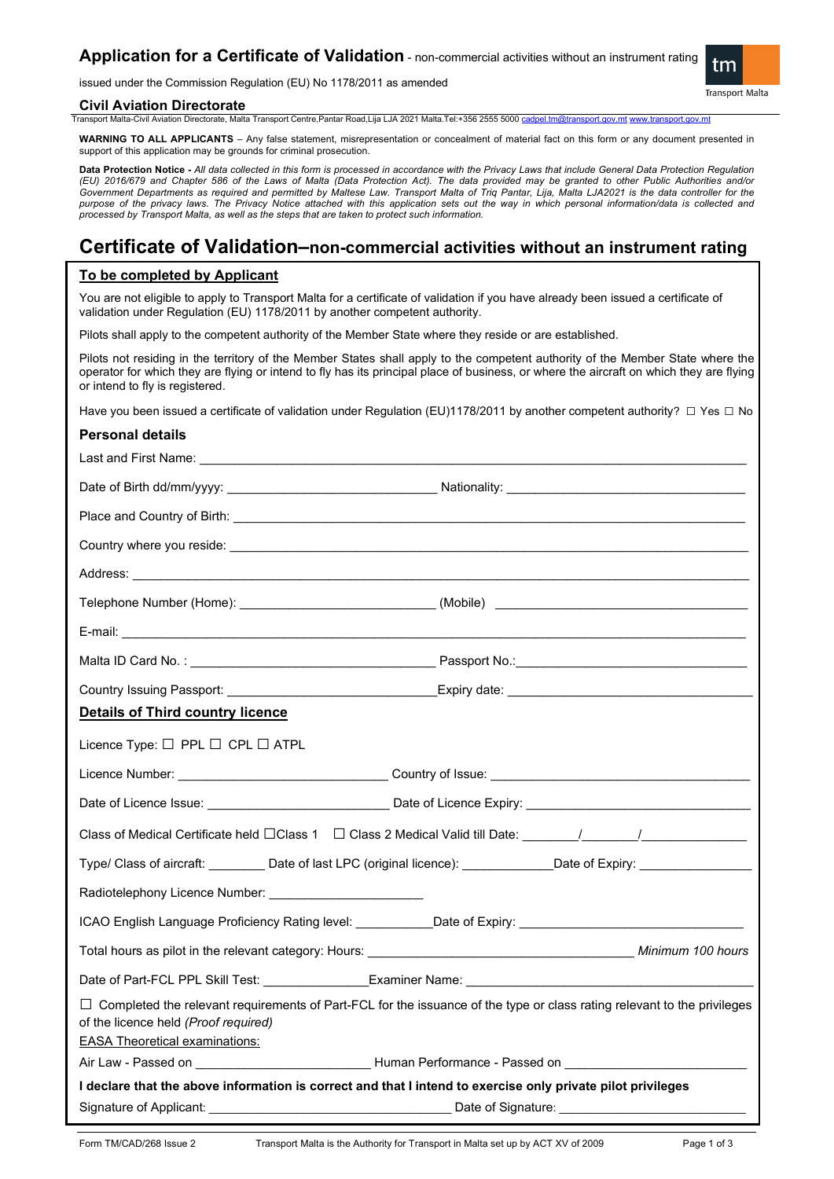# **Application for a Certificate of Validation** - non-commercial activities without an instrument rating

issued under the Commission Regulation (EU) No 1178/2011 as amended

#### **Civil Aviation Directorate**

Transport Malta-Civil Aviation Directorate, Malta Transport Centre,Pantar Road,Lija LJA 2021 Malta.Tel:+356 2555 5000 cadpel.tm@tra

**WARNING TO ALL APPLICANTS** – Any false statement, misrepresentation or concealment of material fact on this form or any document presented in support of this application may be grounds for criminal prosecution.

**Data Protection Notice -** *All data collected in this form is processed in accordance with the Privacy Laws that include General Data Protection Regulation (EU) 2016/679 and Chapter 586 of the Laws of Malta (Data Protection Act). The data provided may be granted to other Public Authorities and/or Government Departments as required and permitted by Maltese Law. Transport Malta of Triq Pantar, Lija, Malta LJA2021 is the data controller for the purpose of the privacy laws. The Privacy Notice attached with this application sets out the way in which personal information/data is collected and processed by Transport Malta, as well as the steps that are taken to protect such information.*

# **Certificate of Validation–non-commercial activities without an instrument rating**

### **To be completed by Applicant**

You are not eligible to apply to Transport Malta for a certificate of validation if you have already been issued a certificate of validation under Regulation (EU) 1178/2011 by another competent authority.

Pilots shall apply to the competent authority of the Member State where they reside or are established.

Pilots not residing in the territory of the Member States shall apply to the competent authority of the Member State where the operator for which they are flying or intend to fly has its principal place of business, or where the aircraft on which they are flying or intend to fly is registered.

Have you been issued a certificate of validation under Regulation (EU)1178/2011 by another competent authority? □ Yes □ No

#### **Personal details**

| Address: <u>with a community of the community of the community of the community of the community of the community of the community of the community of the community of the community of the community of the community of the c</u> |  |  |
|--------------------------------------------------------------------------------------------------------------------------------------------------------------------------------------------------------------------------------------|--|--|
| Telephone Number (Home): _________________________________(Mobile) _________________________________                                                                                                                                 |  |  |
|                                                                                                                                                                                                                                      |  |  |
|                                                                                                                                                                                                                                      |  |  |
|                                                                                                                                                                                                                                      |  |  |
| <b>Details of Third country licence</b>                                                                                                                                                                                              |  |  |
| Licence Type: □ PPL □ CPL □ ATPL                                                                                                                                                                                                     |  |  |
|                                                                                                                                                                                                                                      |  |  |
|                                                                                                                                                                                                                                      |  |  |
| Class of Medical Certificate held □Class 1 □ Class 2 Medical Valid till Date: ________/_______/_______________                                                                                                                       |  |  |
| Type/ Class of aircraft: _________Date of last LPC (original licence): ____________Date of Expiry: ____________                                                                                                                      |  |  |
| Radiotelephony Licence Number: _________________________                                                                                                                                                                             |  |  |
| ICAO English Language Proficiency Rating level: ___________Date of Expiry: _________________________                                                                                                                                 |  |  |
|                                                                                                                                                                                                                                      |  |  |
|                                                                                                                                                                                                                                      |  |  |
| □ Completed the relevant requirements of Part-FCL for the issuance of the type or class rating relevant to the privileges<br>of the licence held (Proof required)<br><b>EASA Theoretical examinations:</b>                           |  |  |
|                                                                                                                                                                                                                                      |  |  |
| I declare that the above information is correct and that I intend to exercise only private pilot privileges                                                                                                                          |  |  |
|                                                                                                                                                                                                                                      |  |  |

tm

**Transport Malta**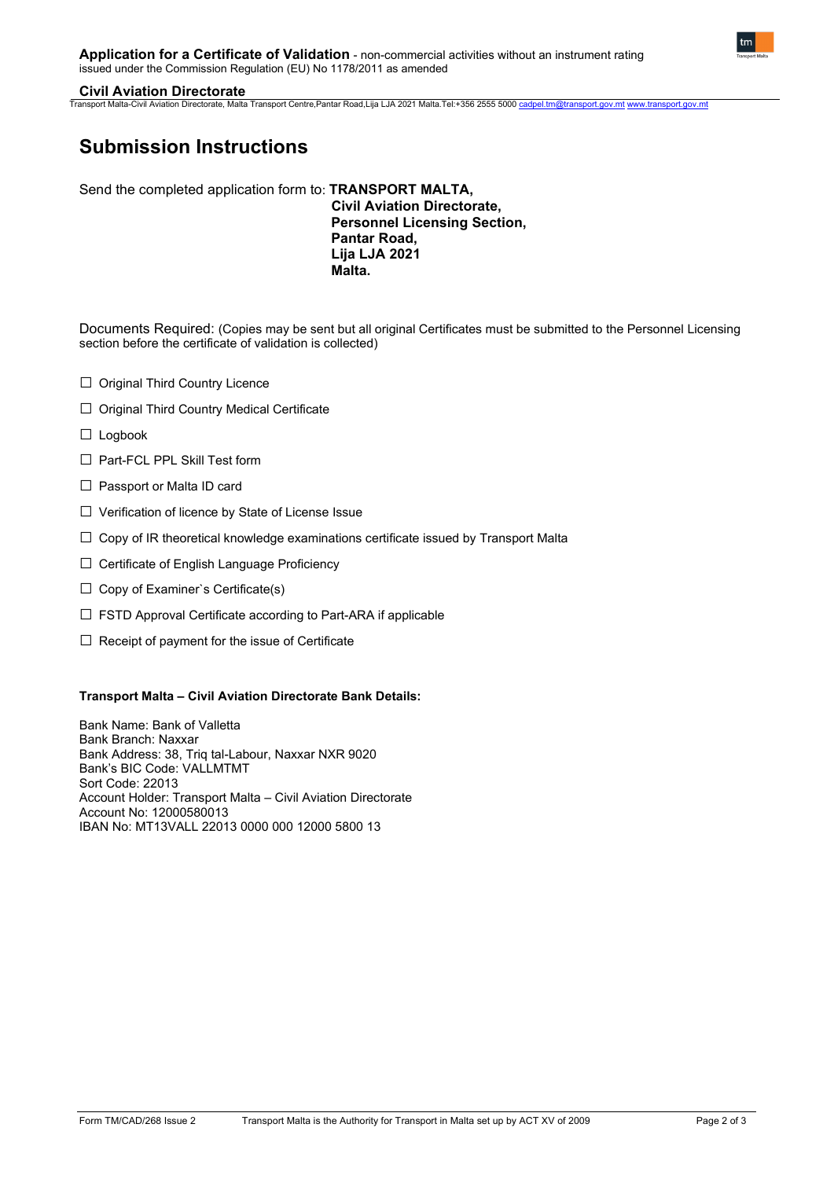# **Civil Aviation Directorate**

Transport Malta-Civil Aviation Directorate, Malta Transport Centre,Pantar Road,Lija LJA 2021 Malta.Tel:+356 2555 5000 [cadpel.tm@transport.gov.mt](mailto:cadpel.tm@transport.gov.mt) [www.transport.gov.mt](http://www.transport.gov.mt/)

# **Submission Instructions**

Send the completed application form to: **TRANSPORT MALTA,**

**Civil Aviation Directorate, Personnel Licensing Section, Pantar Road, Lija LJA 2021 Malta.**

Documents Required: (Copies may be sent but all original Certificates must be submitted to the Personnel Licensing section before the certificate of validation is collected)

- □ Original Third Country Licence
- □ Original Third Country Medical Certificate
- □ Logbook
- □ Part-FCL PPL Skill Test form
- □ Passport or Malta ID card
- □ Verification of licence by State of License Issue
- $\square$  Copy of IR theoretical knowledge examinations certificate issued by Transport Malta
- □ Certificate of English Language Proficiency
- $\Box$  Copy of Examiner's Certificate(s)
- $\square$  FSTD Approval Certificate according to Part-ARA if applicable
- $\square$  Receipt of payment for the issue of Certificate

## **Transport Malta – Civil Aviation Directorate Bank Details:**

Bank Name: Bank of Valletta Bank Branch: Naxxar Bank Address: 38, Triq tal-Labour, Naxxar NXR 9020 Bank's BIC Code: VALLMTMT Sort Code: 22013 Account Holder: Transport Malta – Civil Aviation Directorate Account No: 12000580013 IBAN No: MT13VALL 22013 0000 000 12000 5800 13